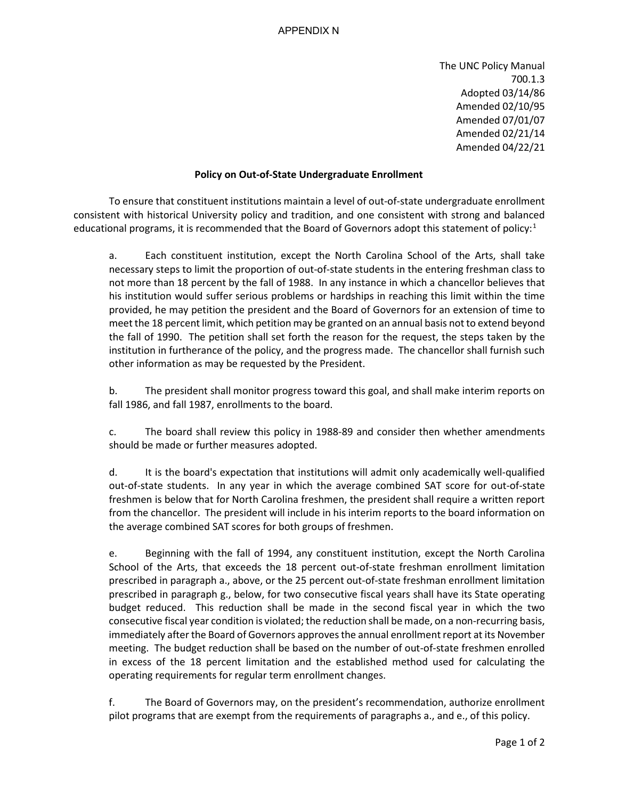## APPENDIX N

The UNC Policy Manual 700.1.3 Adopted 03/14/86 Amended 02/10/95 Amended 07/01/07 Amended 02/21/14 Amended 04/22/21

## **Policy on Out-of-State Undergraduate Enrollment**

To ensure that constituent institutions maintain a level of out-of-state undergraduate enrollment consistent with historical University policy and tradition, and one consistent with strong and balanced educational programs, it is recommended that the Board of Governors adopt this statement of policy:<sup>[1](#page-1-0)</sup>

a. Each constituent institution, except the North Carolina School of the Arts, shall take necessary steps to limit the proportion of out-of-state students in the entering freshman class to not more than 18 percent by the fall of 1988. In any instance in which a chancellor believes that his institution would suffer serious problems or hardships in reaching this limit within the time provided, he may petition the president and the Board of Governors for an extension of time to meet the 18 percent limit, which petition may be granted on an annual basis not to extend beyond the fall of 1990. The petition shall set forth the reason for the request, the steps taken by the institution in furtherance of the policy, and the progress made. The chancellor shall furnish such other information as may be requested by the President.

b. The president shall monitor progress toward this goal, and shall make interim reports on fall 1986, and fall 1987, enrollments to the board.

c. The board shall review this policy in 1988-89 and consider then whether amendments should be made or further measures adopted.

d. It is the board's expectation that institutions will admit only academically well-qualified out-of-state students. In any year in which the average combined SAT score for out-of-state freshmen is below that for North Carolina freshmen, the president shall require a written report from the chancellor. The president will include in his interim reports to the board information on the average combined SAT scores for both groups of freshmen.

e. Beginning with the fall of 1994, any constituent institution, except the North Carolina School of the Arts, that exceeds the 18 percent out-of-state freshman enrollment limitation prescribed in paragraph a., above, or the 25 percent out-of-state freshman enrollment limitation prescribed in paragraph g., below, for two consecutive fiscal years shall have its State operating budget reduced. This reduction shall be made in the second fiscal year in which the two consecutive fiscal year condition is violated; the reduction shall be made, on a non-recurring basis, immediately after the Board of Governors approves the annual enrollment report at its November meeting. The budget reduction shall be based on the number of out-of-state freshmen enrolled in excess of the 18 percent limitation and the established method used for calculating the operating requirements for regular term enrollment changes.

f. The Board of Governors may, on the president's recommendation, authorize enrollment pilot programs that are exempt from the requirements of paragraphs a., and e., of this policy.